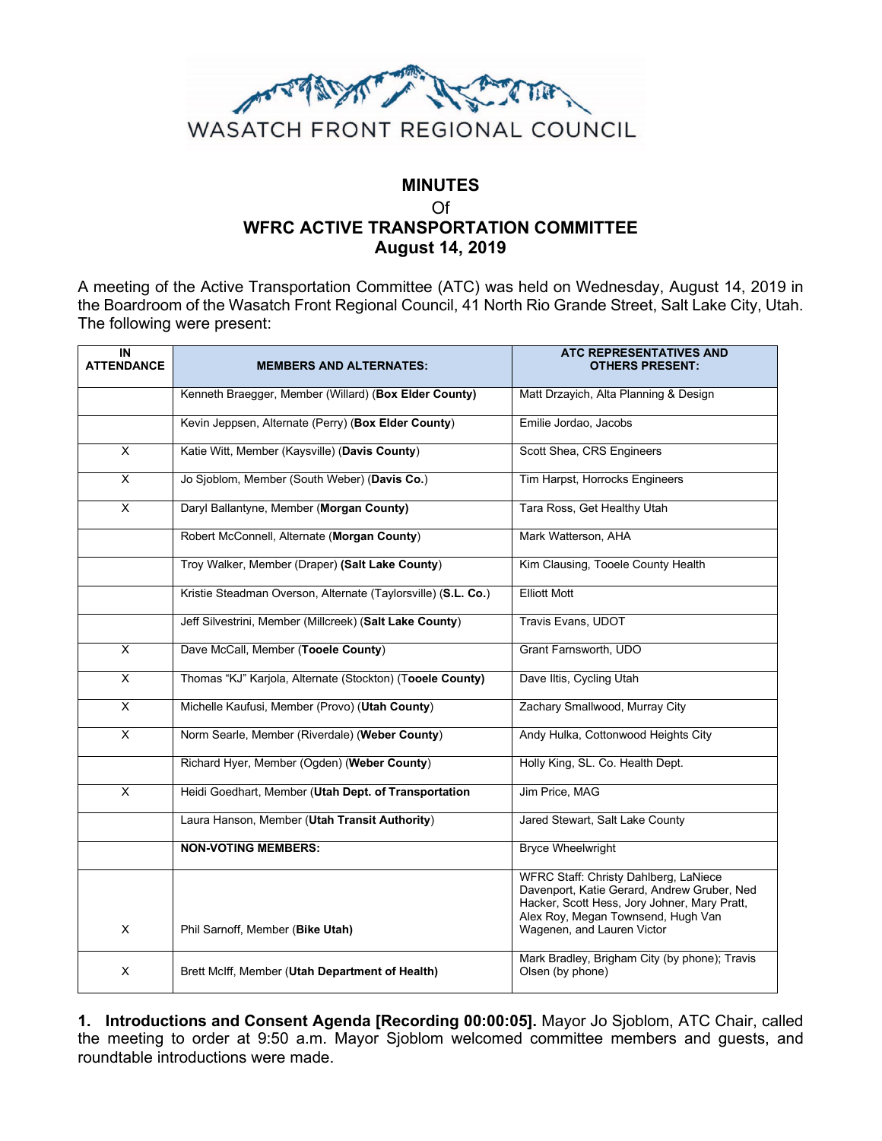

# **MINUTES** Of **WFRC ACTIVE TRANSPORTATION COMMITTEE August 14, 2019**

A meeting of the Active Transportation Committee (ATC) was held on Wednesday, August 14, 2019 in the Boardroom of the Wasatch Front Regional Council, 41 North Rio Grande Street, Salt Lake City, Utah. The following were present:

| IN<br><b>ATTENDANCE</b> | <b>MEMBERS AND ALTERNATES:</b>                                | <b>ATC REPRESENTATIVES AND</b><br><b>OTHERS PRESENT:</b>                                                                                                                                                 |
|-------------------------|---------------------------------------------------------------|----------------------------------------------------------------------------------------------------------------------------------------------------------------------------------------------------------|
|                         | Kenneth Braegger, Member (Willard) (Box Elder County)         | Matt Drzayich, Alta Planning & Design                                                                                                                                                                    |
|                         | Kevin Jeppsen, Alternate (Perry) (Box Elder County)           | Emilie Jordao, Jacobs                                                                                                                                                                                    |
| X                       | Katie Witt, Member (Kaysville) (Davis County)                 | Scott Shea, CRS Engineers                                                                                                                                                                                |
| $\overline{\mathsf{x}}$ | Jo Sjoblom, Member (South Weber) (Davis Co.)                  | Tim Harpst, Horrocks Engineers                                                                                                                                                                           |
| $\overline{\mathsf{x}}$ | Daryl Ballantyne, Member (Morgan County)                      | Tara Ross, Get Healthy Utah                                                                                                                                                                              |
|                         | Robert McConnell, Alternate (Morgan County)                   | Mark Watterson, AHA                                                                                                                                                                                      |
|                         | Troy Walker, Member (Draper) (Salt Lake County)               | Kim Clausing, Tooele County Health                                                                                                                                                                       |
|                         | Kristie Steadman Overson, Alternate (Taylorsville) (S.L. Co.) | <b>Elliott Mott</b>                                                                                                                                                                                      |
|                         | Jeff Silvestrini, Member (Millcreek) (Salt Lake County)       | Travis Evans, UDOT                                                                                                                                                                                       |
| $\overline{\mathsf{x}}$ | Dave McCall, Member (Tooele County)                           | Grant Farnsworth, UDO                                                                                                                                                                                    |
| $\overline{\mathsf{x}}$ | Thomas "KJ" Karjola, Alternate (Stockton) (Tooele County)     | Dave Iltis, Cycling Utah                                                                                                                                                                                 |
| $\overline{\mathsf{x}}$ | Michelle Kaufusi, Member (Provo) (Utah County)                | Zachary Smallwood, Murray City                                                                                                                                                                           |
| X                       | Norm Searle, Member (Riverdale) (Weber County)                | Andy Hulka, Cottonwood Heights City                                                                                                                                                                      |
|                         | Richard Hyer, Member (Ogden) (Weber County)                   | Holly King, SL. Co. Health Dept.                                                                                                                                                                         |
| X                       | Heidi Goedhart, Member (Utah Dept. of Transportation          | Jim Price, MAG                                                                                                                                                                                           |
|                         | Laura Hanson, Member (Utah Transit Authority)                 | Jared Stewart, Salt Lake County                                                                                                                                                                          |
|                         | <b>NON-VOTING MEMBERS:</b>                                    | <b>Bryce Wheelwright</b>                                                                                                                                                                                 |
| X                       | Phil Sarnoff, Member (Bike Utah)                              | WFRC Staff: Christy Dahlberg, LaNiece<br>Davenport, Katie Gerard, Andrew Gruber, Ned<br>Hacker, Scott Hess, Jory Johner, Mary Pratt,<br>Alex Roy, Megan Townsend, Hugh Van<br>Wagenen, and Lauren Victor |
| X                       | Brett McIff, Member (Utah Department of Health)               | Mark Bradley, Brigham City (by phone); Travis<br>Olsen (by phone)                                                                                                                                        |

**1. Introductions and Consent Agenda [Recording 00:00:05].** Mayor Jo Sjoblom, ATC Chair, called the meeting to order at 9:50 a.m. Mayor Sjoblom welcomed committee members and guests, and roundtable introductions were made.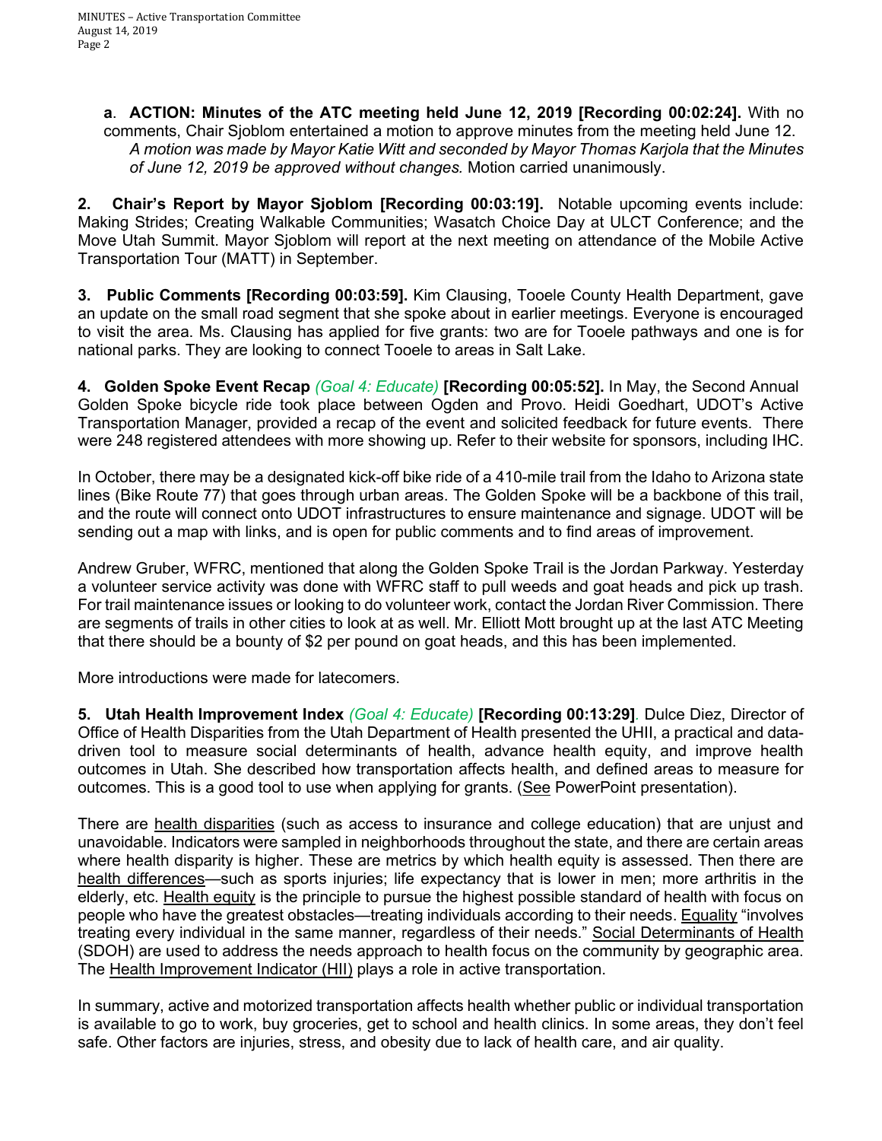**a**. **ACTION: Minutes of the ATC meeting held June 12, 2019 [Recording 00:02:24].** With no comments, Chair Sjoblom entertained a motion to approve minutes from the meeting held June 12. *A motion was made by Mayor Katie Witt and seconded by Mayor Thomas Karjola that the Minutes of June 12, 2019 be approved without changes.* Motion carried unanimously.

**2. Chair's Report by Mayor Sjoblom [Recording 00:03:19].** Notable upcoming events include: Making Strides; Creating Walkable Communities; Wasatch Choice Day at ULCT Conference; and the Move Utah Summit. Mayor Sjoblom will report at the next meeting on attendance of the Mobile Active Transportation Tour (MATT) in September.

**3. Public Comments [Recording 00:03:59].** Kim Clausing, Tooele County Health Department, gave an update on the small road segment that she spoke about in earlier meetings. Everyone is encouraged to visit the area. Ms. Clausing has applied for five grants: two are for Tooele pathways and one is for national parks. They are looking to connect Tooele to areas in Salt Lake.

**4. Golden Spoke Event Recap** *(Goal 4: Educate)* **[Recording 00:05:52].** In May, the Second Annual Golden Spoke bicycle ride took place between Ogden and Provo. Heidi Goedhart, UDOT's Active Transportation Manager, provided a recap of the event and solicited feedback for future events. There were 248 registered attendees with more showing up. Refer to their website for sponsors, including IHC.

In October, there may be a designated kick-off bike ride of a 410-mile trail from the Idaho to Arizona state lines (Bike Route 77) that goes through urban areas. The Golden Spoke will be a backbone of this trail, and the route will connect onto UDOT infrastructures to ensure maintenance and signage. UDOT will be sending out a map with links, and is open for public comments and to find areas of improvement.

Andrew Gruber, WFRC, mentioned that along the Golden Spoke Trail is the Jordan Parkway. Yesterday a volunteer service activity was done with WFRC staff to pull weeds and goat heads and pick up trash. For trail maintenance issues or looking to do volunteer work, contact the Jordan River Commission. There are segments of trails in other cities to look at as well. Mr. Elliott Mott brought up at the last ATC Meeting that there should be a bounty of \$2 per pound on goat heads, and this has been implemented.

More introductions were made for latecomers.

**5. Utah Health Improvement Index** *(Goal 4: Educate)* **[Recording 00:13:29]***.* Dulce Diez, Director of Office of Health Disparities from the Utah Department of Health presented the UHII, a practical and datadriven tool to measure social determinants of health, advance health equity, and improve health outcomes in Utah. She described how transportation affects health, and defined areas to measure for outcomes. This is a good tool to use when applying for grants. (See PowerPoint presentation).

There are health disparities (such as access to insurance and college education) that are unjust and unavoidable. Indicators were sampled in neighborhoods throughout the state, and there are certain areas where health disparity is higher. These are metrics by which health equity is assessed. Then there are health differences—such as sports injuries; life expectancy that is lower in men; more arthritis in the elderly, etc. Health equity is the principle to pursue the highest possible standard of health with focus on people who have the greatest obstacles—treating individuals according to their needs. Equality "involves treating every individual in the same manner, regardless of their needs." Social Determinants of Health (SDOH) are used to address the needs approach to health focus on the community by geographic area. The Health Improvement Indicator (HII) plays a role in active transportation.

In summary, active and motorized transportation affects health whether public or individual transportation is available to go to work, buy groceries, get to school and health clinics. In some areas, they don't feel safe. Other factors are injuries, stress, and obesity due to lack of health care, and air quality.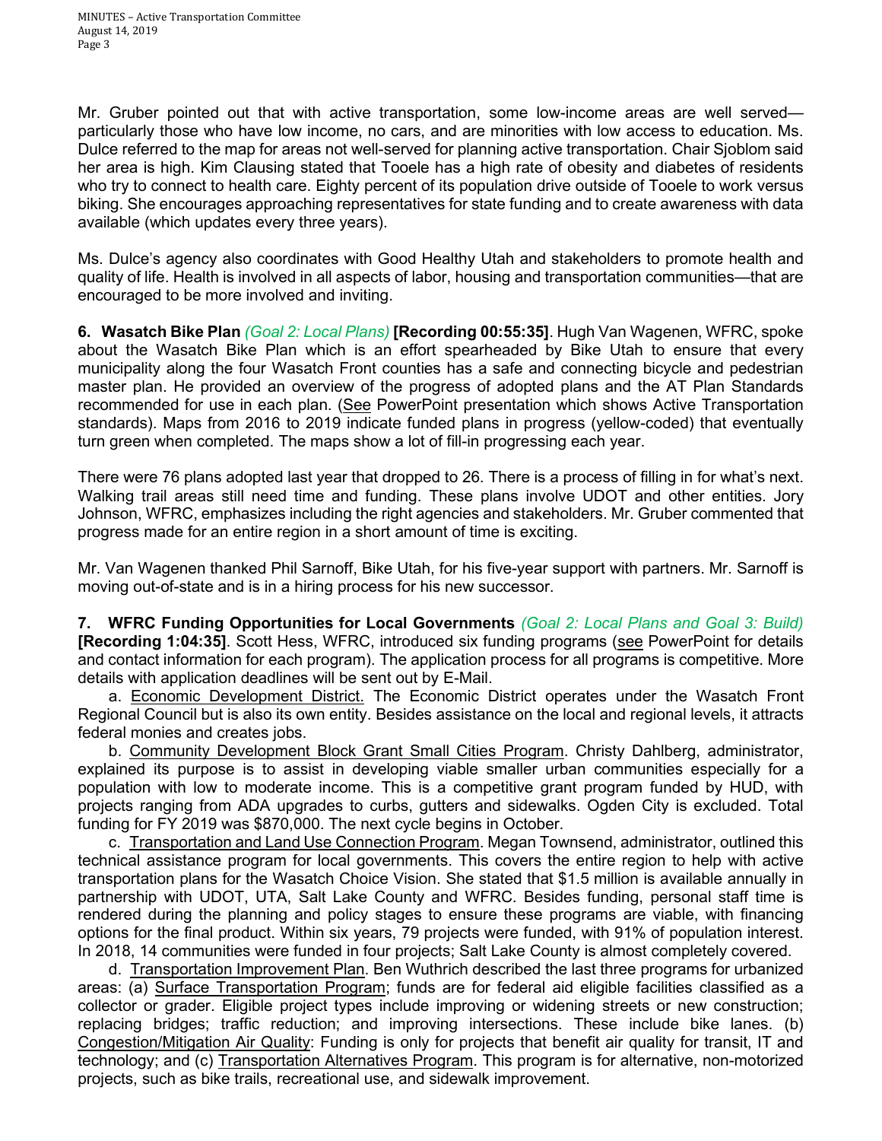Mr. Gruber pointed out that with active transportation, some low-income areas are well served particularly those who have low income, no cars, and are minorities with low access to education. Ms. Dulce referred to the map for areas not well-served for planning active transportation. Chair Sjoblom said her area is high. Kim Clausing stated that Tooele has a high rate of obesity and diabetes of residents who try to connect to health care. Eighty percent of its population drive outside of Tooele to work versus biking. She encourages approaching representatives for state funding and to create awareness with data available (which updates every three years).

Ms. Dulce's agency also coordinates with Good Healthy Utah and stakeholders to promote health and quality of life. Health is involved in all aspects of labor, housing and transportation communities—that are encouraged to be more involved and inviting.

**6. Wasatch Bike Plan** *(Goal 2: Local Plans)* **[Recording 00:55:35]**. Hugh Van Wagenen, WFRC, spoke about the Wasatch Bike Plan which is an effort spearheaded by Bike Utah to ensure that every municipality along the four Wasatch Front counties has a safe and connecting bicycle and pedestrian master plan. He provided an overview of the progress of adopted plans and the AT Plan Standards recommended for use in each plan. (See PowerPoint presentation which shows Active Transportation standards). Maps from 2016 to 2019 indicate funded plans in progress (yellow-coded) that eventually turn green when completed. The maps show a lot of fill-in progressing each year.

There were 76 plans adopted last year that dropped to 26. There is a process of filling in for what's next. Walking trail areas still need time and funding. These plans involve UDOT and other entities. Jory Johnson, WFRC, emphasizes including the right agencies and stakeholders. Mr. Gruber commented that progress made for an entire region in a short amount of time is exciting.

Mr. Van Wagenen thanked Phil Sarnoff, Bike Utah, for his five-year support with partners. Mr. Sarnoff is moving out-of-state and is in a hiring process for his new successor.

**7. WFRC Funding Opportunities for Local Governments** *(Goal 2: Local Plans and Goal 3: Build)*  **[Recording 1:04:35]**. Scott Hess, WFRC, introduced six funding programs (see PowerPoint for details and contact information for each program). The application process for all programs is competitive. More details with application deadlines will be sent out by E-Mail.

 a. Economic Development District. The Economic District operates under the Wasatch Front Regional Council but is also its own entity. Besides assistance on the local and regional levels, it attracts federal monies and creates jobs.

b. Community Development Block Grant Small Cities Program. Christy Dahlberg, administrator, explained its purpose is to assist in developing viable smaller urban communities especially for a population with low to moderate income. This is a competitive grant program funded by HUD, with projects ranging from ADA upgrades to curbs, gutters and sidewalks. Ogden City is excluded. Total funding for FY 2019 was \$870,000. The next cycle begins in October.

 c. Transportation and Land Use Connection Program. Megan Townsend, administrator, outlined this technical assistance program for local governments. This covers the entire region to help with active transportation plans for the Wasatch Choice Vision. She stated that \$1.5 million is available annually in partnership with UDOT, UTA, Salt Lake County and WFRC. Besides funding, personal staff time is rendered during the planning and policy stages to ensure these programs are viable, with financing options for the final product. Within six years, 79 projects were funded, with 91% of population interest. In 2018, 14 communities were funded in four projects; Salt Lake County is almost completely covered.

 d. Transportation Improvement Plan. Ben Wuthrich described the last three programs for urbanized areas: (a) Surface Transportation Program; funds are for federal aid eligible facilities classified as a collector or grader. Eligible project types include improving or widening streets or new construction; replacing bridges; traffic reduction; and improving intersections. These include bike lanes. (b) Congestion/Mitigation Air Quality: Funding is only for projects that benefit air quality for transit, IT and technology; and (c) Transportation Alternatives Program. This program is for alternative, non-motorized projects, such as bike trails, recreational use, and sidewalk improvement.